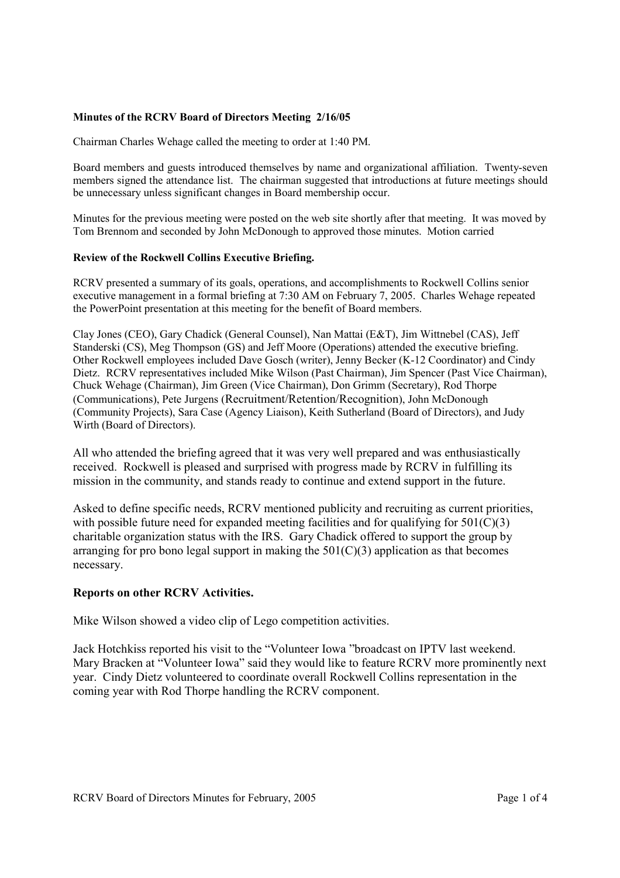### **Minutes of the RCRV Board of Directors Meeting 2/16/05**

Chairman Charles Wehage called the meeting to order at 1:40 PM.

Board members and guests introduced themselves by name and organizational affiliation. Twenty-seven members signed the attendance list. The chairman suggested that introductions at future meetings should be unnecessary unless significant changes in Board membership occur.

Minutes for the previous meeting were posted on the web site shortly after that meeting. It was moved by Tom Brennom and seconded by John McDonough to approved those minutes. Motion carried

### **Review of the Rockwell Collins Executive Briefing.**

RCRV presented a summary of its goals, operations, and accomplishments to Rockwell Collins senior executive management in a formal briefing at 7:30 AM on February 7, 2005. Charles Wehage repeated the PowerPoint presentation at this meeting for the benefit of Board members.

Clay Jones (CEO), Gary Chadick (General Counsel), Nan Mattai (E&T), Jim Wittnebel (CAS), Jeff Standerski (CS), Meg Thompson (GS) and Jeff Moore (Operations) attended the executive briefing. Other Rockwell employees included Dave Gosch (writer), Jenny Becker (K-12 Coordinator) and Cindy Dietz. RCRV representatives included Mike Wilson (Past Chairman), Jim Spencer (Past Vice Chairman), Chuck Wehage (Chairman), Jim Green (Vice Chairman), Don Grimm (Secretary), Rod Thorpe (Communications), Pete Jurgens (Recruitment/Retention/Recognition), John McDonough (Community Projects), Sara Case (Agency Liaison), Keith Sutherland (Board of Directors), and Judy Wirth (Board of Directors).

All who attended the briefing agreed that it was very well prepared and was enthusiastically received. Rockwell is pleased and surprised with progress made by RCRV in fulfilling its mission in the community, and stands ready to continue and extend support in the future.

Asked to define specific needs, RCRV mentioned publicity and recruiting as current priorities, with possible future need for expanded meeting facilities and for qualifying for  $501(C)(3)$ charitable organization status with the IRS. Gary Chadick offered to support the group by arranging for pro bono legal support in making the  $501(C)(3)$  application as that becomes necessary.

### **Reports on other RCRV Activities.**

Mike Wilson showed a video clip of Lego competition activities.

Jack Hotchkiss reported his visit to the "Volunteer Iowa "broadcast on IPTV last weekend. Mary Bracken at "Volunteer Iowa" said they would like to feature RCRV more prominently next year. Cindy Dietz volunteered to coordinate overall Rockwell Collins representation in the coming year with Rod Thorpe handling the RCRV component.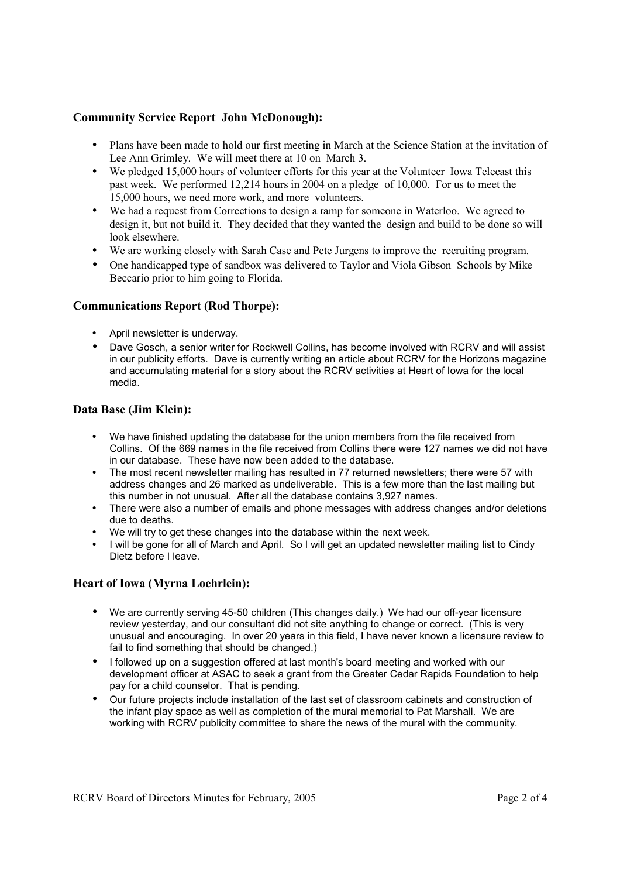# **Community Service Report John McDonough):**

- Plans have been made to hold our first meeting in March at the Science Station at the invitation of Lee Ann Grimley. We will meet there at 10 on March 3.
- We pledged 15,000 hours of volunteer efforts for this year at the Volunteer Iowa Telecast this past week. We performed 12,214 hours in 2004 on a pledge of 10,000. For us to meet the 15,000 hours, we need more work, and more volunteers.
- We had a request from Corrections to design a ramp for someone in Waterloo. We agreed to design it, but not build it. They decided that they wanted the design and build to be done so will look elsewhere.
- We are working closely with Sarah Case and Pete Jurgens to improve the recruiting program.
- One handicapped type of sandbox was delivered to Taylor and Viola Gibson Schools by Mike Beccario prior to him going to Florida.

# **Communications Report (Rod Thorpe):**

- April newsletter is underway.
- Dave Gosch, a senior writer for Rockwell Collins, has become involved with RCRV and will assist in our publicity efforts. Dave is currently writing an article about RCRV for the Horizons magazine and accumulating material for a story about the RCRV activities at Heart of Iowa for the local media.

# **Data Base (Jim Klein):**

- We have finished updating the database for the union members from the file received from Collins. Of the 669 names in the file received from Collins there were 127 names we did not have in our database. These have now been added to the database.
- The most recent newsletter mailing has resulted in 77 returned newsletters; there were 57 with address changes and 26 marked as undeliverable. This is a few more than the last mailing but this number in not unusual. After all the database contains 3,927 names.
- There were also a number of emails and phone messages with address changes and/or deletions due to deaths.
- We will try to get these changes into the database within the next week.
- I will be gone for all of March and April. So I will get an updated newsletter mailing list to Cindy Dietz before I leave.

# **Heart of Iowa (Myrna Loehrlein):**

- We are currently serving 45-50 children (This changes daily.) We had our off-year licensure review yesterday, and our consultant did not site anything to change or correct. (This is very unusual and encouraging. In over 20 years in this field, I have never known a licensure review to fail to find something that should be changed.)
- I followed up on a suggestion offered at last month's board meeting and worked with our development officer at ASAC to seek a grant from the Greater Cedar Rapids Foundation to help pay for a child counselor. That is pending.
- Our future projects include installation of the last set of classroom cabinets and construction of the infant play space as well as completion of the mural memorial to Pat Marshall. We are working with RCRV publicity committee to share the news of the mural with the community.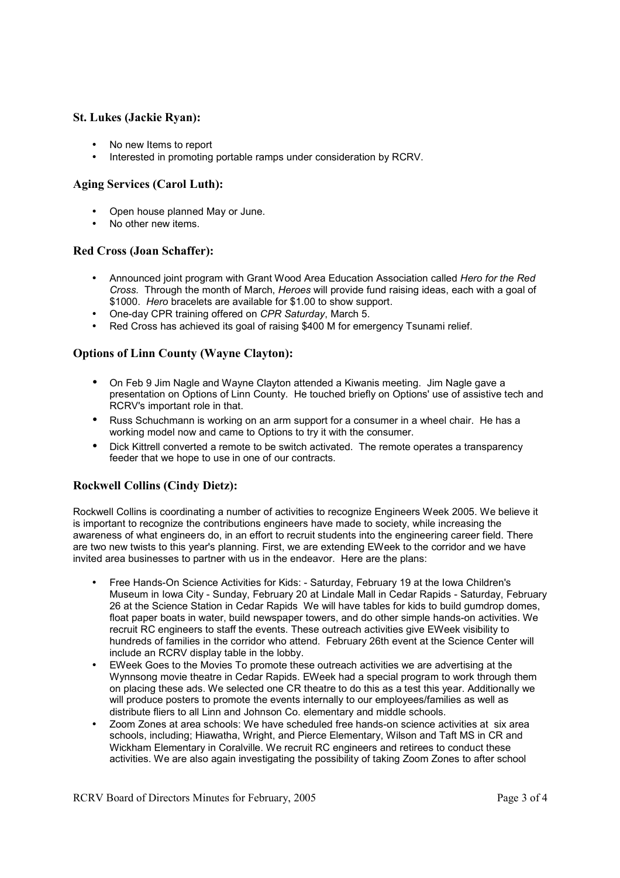## **St. Lukes (Jackie Ryan):**

- No new Items to report
- Interested in promoting portable ramps under consideration by RCRV.

### **Aging Services (Carol Luth):**

- Open house planned May or June.
- No other new items.

### **Red Cross (Joan Schaffer):**

- Announced joint program with Grant Wood Area Education Association called *Hero for the Red Cross.* Through the month of March, *Heroes* will provide fund raising ideas, each with a goal of \$1000. *Hero* bracelets are available for \$1.00 to show support.
- One-day CPR training offered on *CPR Saturday*, March 5.
- Red Cross has achieved its goal of raising \$400 M for emergency Tsunami relief.

# **Options of Linn County (Wayne Clayton):**

- On Feb 9 Jim Nagle and Wayne Clayton attended a Kiwanis meeting. Jim Nagle gave a presentation on Options of Linn County. He touched briefly on Options' use of assistive tech and RCRV's important role in that.
- Russ Schuchmann is working on an arm support for a consumer in a wheel chair. He has a working model now and came to Options to try it with the consumer.
- Dick Kittrell converted a remote to be switch activated. The remote operates a transparency feeder that we hope to use in one of our contracts.

### **Rockwell Collins (Cindy Dietz):**

Rockwell Collins is coordinating a number of activities to recognize Engineers Week 2005. We believe it is important to recognize the contributions engineers have made to society, while increasing the awareness of what engineers do, in an effort to recruit students into the engineering career field. There are two new twists to this year's planning. First, we are extending EWeek to the corridor and we have invited area businesses to partner with us in the endeavor. Here are the plans:

- Free Hands-On Science Activities for Kids: Saturday, February 19 at the Iowa Children's Museum in Iowa City - Sunday, February 20 at Lindale Mall in Cedar Rapids - Saturday, February 26 at the Science Station in Cedar Rapids We will have tables for kids to build gumdrop domes, float paper boats in water, build newspaper towers, and do other simple hands-on activities. We recruit RC engineers to staff the events. These outreach activities give EWeek visibility to hundreds of families in the corridor who attend. February 26th event at the Science Center will include an RCRV display table in the lobby.
- EWeek Goes to the Movies To promote these outreach activities we are advertising at the Wynnsong movie theatre in Cedar Rapids. EWeek had a special program to work through them on placing these ads. We selected one CR theatre to do this as a test this year. Additionally we will produce posters to promote the events internally to our employees/families as well as distribute fliers to all Linn and Johnson Co. elementary and middle schools.
- Zoom Zones at area schools: We have scheduled free hands-on science activities at six area schools, including; Hiawatha, Wright, and Pierce Elementary, Wilson and Taft MS in CR and Wickham Elementary in Coralville. We recruit RC engineers and retirees to conduct these activities. We are also again investigating the possibility of taking Zoom Zones to after school